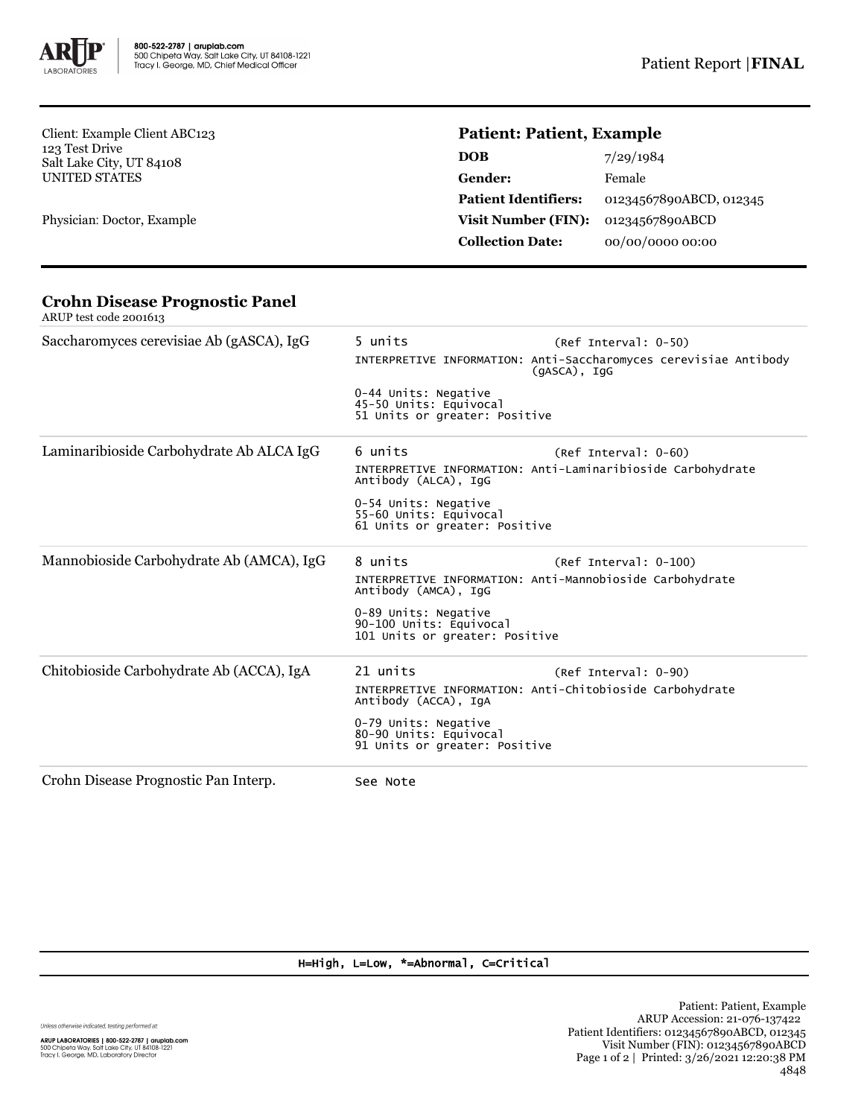

Client: Example Client ABC123 123 Test Drive Salt Lake City, UT 84108 UNITED STATES

Physician: Doctor, Example

# **Patient: Patient, Example**

| 7/29/1984               |
|-------------------------|
| Female                  |
| 01234567890ABCD, 012345 |
| 01234567890ABCD         |
| 00/00/0000 00:00        |
|                         |

#### **Crohn Disease Prognostic Panel** ARUP test code 2001613

| Saccharomyces cerevisiae Ab (gASCA), IgG | 5 units<br>0-44 Units: Negative<br>45-50 Units: Equivocal<br>51 Units or greater: Positive                           | (Ref Interval: 0-50)<br>INTERPRETIVE INFORMATION: Anti-Saccharomyces cerevisiae Antibody<br>$(qASCA)$ , IqG |
|------------------------------------------|----------------------------------------------------------------------------------------------------------------------|-------------------------------------------------------------------------------------------------------------|
| Laminaribioside Carbohydrate Ab ALCA IgG | 6 units<br>Antibody (ALCA), IgG<br>0-54 Units: Negative<br>55-60 Units: Equivocal<br>61 Units or greater: Positive   | $(Ref Interval: 0-60)$<br>INTERPRETIVE INFORMATION: Anti-Laminaribioside Carbohydrate                       |
| Mannobioside Carbohydrate Ab (AMCA), IgG | 8 units<br>Antibody (AMCA), IgG<br>0-89 Units: Negative<br>90-100 Units: Equivocal<br>101 Units or greater: Positive | $(Ref Interval: 0-100)$<br>INTERPRETIVE INFORMATION: Anti-Mannobioside Carbohydrate                         |
| Chitobioside Carbohydrate Ab (ACCA), IgA | 21 units<br>Antibody (ACCA), IgA<br>0-79 Units: Negative<br>80-90 Units: Equivocal<br>91 Units or greater: Positive  | (Ref Interval: 0-90)<br>INTERPRETIVE INFORMATION: Anti-Chitobioside Carbohydrate                            |
| Crohn Disease Prognostic Pan Interp.     | See Note                                                                                                             |                                                                                                             |

## H=High, L=Low, \*=Abnormal, C=Critical

Unless otherwise indicated, testing performed at:

**ARUP LABORATORIES | 800-522-2787 | aruplab.com**<br>500 Chipeta Way, Salt Lake City, UT 84108-1221<br>Tracy I. George, MD, Laboratory Director